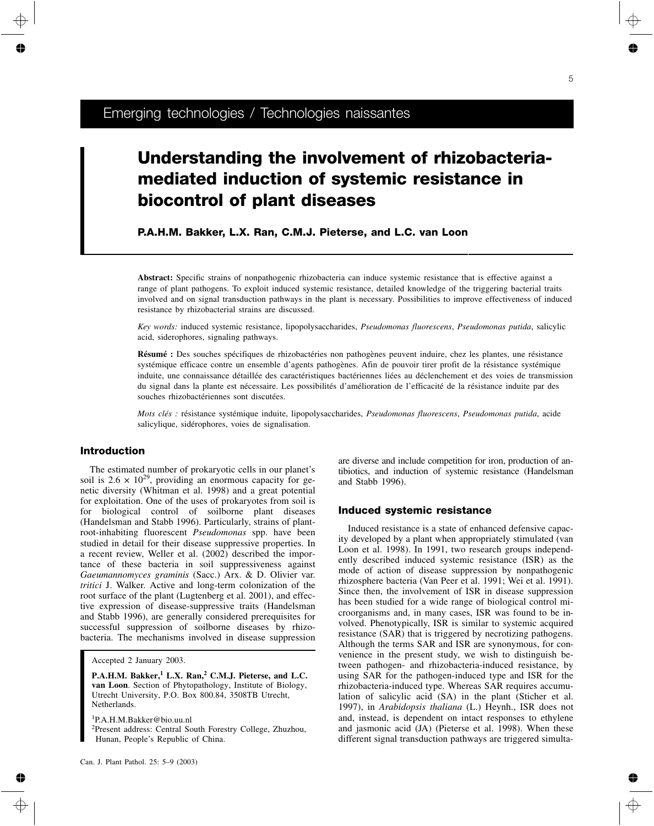# **Understanding the involvement of rhizobacteriamediated induction of systemic resistance in biocontrol of plant diseases**

**P.A.H.M. Bakker, L.X. Ran, C.M.J. Pieterse, and L.C. van Loon**

**Abstract:** Specific strains of nonpathogenic rhizobacteria can induce systemic resistance that is effective against a range of plant pathogens. To exploit induced systemic resistance, detailed knowledge of the triggering bacterial traits involved and on signal transduction pathways in the plant is necessary. Possibilities to improve effectiveness of induced resistance by rhizobacterial strains are discussed.

*Key words:* induced systemic resistance, lipopolysaccharides, *Pseudomonas fluorescens*, *Pseudomonas putida*, salicylic acid, siderophores, signaling pathways.

**Résumé :** Des souches spécifiques de rhizobactéries non pathogènes peuvent induire, chez les plantes, une résistance systémique efficace contre un ensemble d'agents pathogènes. Afin de pouvoir tirer profit de la résistance systémique induite, une connaissance détaillée des caractéristiques bactériennes liées au déclenchement et des voies de transmission du signal dans la plante est nécessaire. Les possibilités d'amélioration de l'efficacité de la résistance induite par des souches rhizobactériennes sont discutées.

*Mots clés :* résistance systémique induite, lipopolysaccharides, *Pseudomonas fluorescens*, *Pseudomonas putida*, acide salicylique, sidérophores, voies de signalisation.

## **Introduction**

The estimated number of prokaryotic cells in our planet's soil is  $2.6 \times 10^{29}$ , providing an enormous capacity for genetic diversity (Whitman et al. 1998) and a great potential for exploitation. One of the uses of prokaryotes from soil is for biological control of soilborne plant diseases (Handelsman and Stabb 1996). Particularly, strains of plantroot-inhabiting fluorescent *Pseudomonas* spp. have been studied in detail for their disease suppressive properties. In a recent review, Weller et al. (2002) described the importance of these bacteria in soil suppressiveness against *Gaeumannomyces graminis* (Sacc.) Arx. & D. Olivier var. *tritici* J. Walker. Active and long-term colonization of the root surface of the plant (Lugtenberg et al. 2001), and effective expression of disease-suppressive traits (Handelsman and Stabb 1996), are generally considered prerequisites for successful suppression of soilborne diseases by rhizobacteria. The mechanisms involved in disease suppression

**P.A.H.M. Bakker,<sup>1</sup> L.X. Ran,<sup>2</sup> C.M.J. Pieterse, and L.C. van Loon**. Section of Phytopathology, Institute of Biology, Utrecht University, P.O. Box 800.84, 3508TB Utrecht, Netherlands.

1 P.A.H.M.Bakker@bio.uu.nl <sup>2</sup>Present address: Central South Forestry College, Zhuzhou, Hunan, People's Republic of China.

are diverse and include competition for iron, production of antibiotics, and induction of systemic resistance (Handelsman and Stabb 1996).

#### **Induced systemic resistance**

Induced resistance is a state of enhanced defensive capacity developed by a plant when appropriately stimulated (van Loon et al. 1998). In 1991, two research groups independently described induced systemic resistance (ISR) as the mode of action of disease suppression by nonpathogenic rhizosphere bacteria (Van Peer et al. 1991; Wei et al. 1991). Since then, the involvement of ISR in disease suppression has been studied for a wide range of biological control microorganisms and, in many cases, ISR was found to be involved. Phenotypically, ISR is similar to systemic acquired resistance (SAR) that is triggered by necrotizing pathogens. Although the terms SAR and ISR are synonymous, for convenience in the present study, we wish to distinguish between pathogen- and rhizobacteria-induced resistance, by using SAR for the pathogen-induced type and ISR for the rhizobacteria-induced type. Whereas SAR requires accumulation of salicylic acid (SA) in the plant (Sticher et al. 1997), in *Arabidopsis thaliana* (L.) Heynh., ISR does not and, instead, is dependent on intact responses to ethylene and jasmonic acid (JA) (Pieterse et al. 1998). When these different signal transduction pathways are triggered simulta-

Accepted 2 January 2003.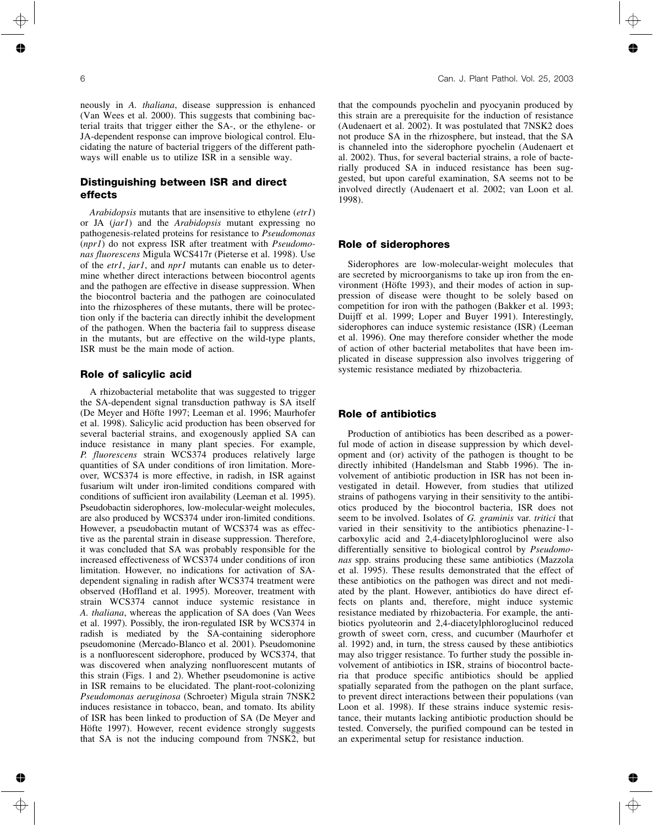neously in *A. thaliana*, disease suppression is enhanced (Van Wees et al. 2000). This suggests that combining bacterial traits that trigger either the SA-, or the ethylene- or JA-dependent response can improve biological control. Elucidating the nature of bacterial triggers of the different pathways will enable us to utilize ISR in a sensible way.

# **Distinguishing between ISR and direct effects**

*Arabidopsis* mutants that are insensitive to ethylene (*etr1*) or JA (*jar1*) and the *Arabidopsis* mutant expressing no pathogenesis-related proteins for resistance to *Pseudomonas* (*npr1*) do not express ISR after treatment with *Pseudomonas fluorescens* Migula WCS417r (Pieterse et al. 1998). Use of the *etr1*, *jar1*, and *npr1* mutants can enable us to determine whether direct interactions between biocontrol agents and the pathogen are effective in disease suppression. When the biocontrol bacteria and the pathogen are coinoculated into the rhizospheres of these mutants, there will be protection only if the bacteria can directly inhibit the development of the pathogen. When the bacteria fail to suppress disease in the mutants, but are effective on the wild-type plants, ISR must be the main mode of action.

#### **Role of salicylic acid**

A rhizobacterial metabolite that was suggested to trigger the SA-dependent signal transduction pathway is SA itself (De Meyer and Höfte 1997; Leeman et al. 1996; Maurhofer et al. 1998). Salicylic acid production has been observed for several bacterial strains, and exogenously applied SA can induce resistance in many plant species. For example, *P. fluorescens* strain WCS374 produces relatively large quantities of SA under conditions of iron limitation. Moreover, WCS374 is more effective, in radish, in ISR against fusarium wilt under iron-limited conditions compared with conditions of sufficient iron availability (Leeman et al. 1995). Pseudobactin siderophores, low-molecular-weight molecules, are also produced by WCS374 under iron-limited conditions. However, a pseudobactin mutant of WCS374 was as effective as the parental strain in disease suppression. Therefore, it was concluded that SA was probably responsible for the increased effectiveness of WCS374 under conditions of iron limitation. However, no indications for activation of SAdependent signaling in radish after WCS374 treatment were observed (Hoffland et al. 1995). Moreover, treatment with strain WCS374 cannot induce systemic resistance in *A. thaliana*, whereas the application of SA does (Van Wees et al. 1997). Possibly, the iron-regulated ISR by WCS374 in radish is mediated by the SA-containing siderophore pseudomonine (Mercado-Blanco et al. 2001). Pseudomonine is a nonfluorescent siderophore, produced by WCS374, that was discovered when analyzing nonfluorescent mutants of this strain (Figs. 1 and 2). Whether pseudomonine is active in ISR remains to be elucidated. The plant-root-colonizing *Pseudomonas aeruginosa* (Schroeter) Migula strain 7NSK2 induces resistance in tobacco, bean, and tomato. Its ability of ISR has been linked to production of SA (De Meyer and Höfte 1997). However, recent evidence strongly suggests that SA is not the inducing compound from 7NSK2, but

that the compounds pyochelin and pyocyanin produced by this strain are a prerequisite for the induction of resistance (Audenaert et al. 2002). It was postulated that 7NSK2 does not produce SA in the rhizosphere, but instead, that the SA is channeled into the siderophore pyochelin (Audenaert et al. 2002). Thus, for several bacterial strains, a role of bacterially produced SA in induced resistance has been suggested, but upon careful examination, SA seems not to be involved directly (Audenaert et al. 2002; van Loon et al. 1998).

#### **Role of siderophores**

Siderophores are low-molecular-weight molecules that are secreted by microorganisms to take up iron from the environment (Höfte 1993), and their modes of action in suppression of disease were thought to be solely based on competition for iron with the pathogen (Bakker et al. 1993; Duijff et al. 1999; Loper and Buyer 1991). Interestingly, siderophores can induce systemic resistance (ISR) (Leeman et al. 1996). One may therefore consider whether the mode of action of other bacterial metabolites that have been implicated in disease suppression also involves triggering of systemic resistance mediated by rhizobacteria.

## **Role of antibiotics**

Production of antibiotics has been described as a powerful mode of action in disease suppression by which development and (or) activity of the pathogen is thought to be directly inhibited (Handelsman and Stabb 1996). The involvement of antibiotic production in ISR has not been investigated in detail. However, from studies that utilized strains of pathogens varying in their sensitivity to the antibiotics produced by the biocontrol bacteria, ISR does not seem to be involved. Isolates of *G. graminis* var. *tritici* that varied in their sensitivity to the antibiotics phenazine-1 carboxylic acid and 2,4-diacetylphloroglucinol were also differentially sensitive to biological control by *Pseudomonas* spp. strains producing these same antibiotics (Mazzola et al. 1995). These results demonstrated that the effect of these antibiotics on the pathogen was direct and not mediated by the plant. However, antibiotics do have direct effects on plants and, therefore, might induce systemic resistance mediated by rhizobacteria. For example, the antibiotics pyoluteorin and 2,4-diacetylphloroglucinol reduced growth of sweet corn, cress, and cucumber (Maurhofer et al. 1992) and, in turn, the stress caused by these antibiotics may also trigger resistance. To further study the possible involvement of antibiotics in ISR, strains of biocontrol bacteria that produce specific antibiotics should be applied spatially separated from the pathogen on the plant surface, to prevent direct interactions between their populations (van Loon et al. 1998). If these strains induce systemic resistance, their mutants lacking antibiotic production should be tested. Conversely, the purified compound can be tested in an experimental setup for resistance induction.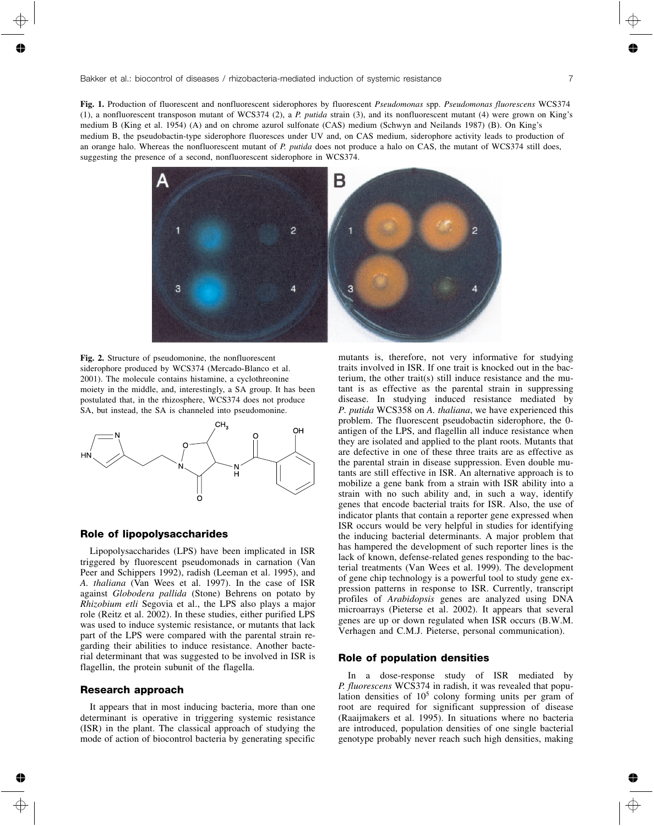**Fig. 1.** Production of fluorescent and nonfluorescent siderophores by fluorescent *Pseudomonas* spp. *Pseudomonas fluorescens* WCS374 (1), a nonfluorescent transposon mutant of WCS374 (2), a *P. putida* strain (3), and its nonfluorescent mutant (4) were grown on King's medium B (King et al. 1954) (A) and on chrome azurol sulfonate (CAS) medium (Schwyn and Neilands 1987) (B). On King's medium B, the pseudobactin-type siderophore fluoresces under UV and, on CAS medium, siderophore activity leads to production of an orange halo. Whereas the nonfluorescent mutant of *P. putida* does not produce a halo on CAS, the mutant of WCS374 still does, suggesting the presence of a second, nonfluorescent siderophore in WCS374.



**Fig. 2.** Structure of pseudomonine, the nonfluorescent siderophore produced by WCS374 (Mercado-Blanco et al. 2001). The molecule contains histamine, a cyclothreonine moiety in the middle, and, interestingly, a SA group. It has been postulated that, in the rhizosphere, WCS374 does not produce SA, but instead, the SA is channeled into pseudomonine.



#### **Role of lipopolysaccharides**

Lipopolysaccharides (LPS) have been implicated in ISR triggered by fluorescent pseudomonads in carnation (Van Peer and Schippers 1992), radish (Leeman et al. 1995), and *A. thaliana* (Van Wees et al. 1997). In the case of ISR against *Globodera pallida* (Stone) Behrens on potato by *Rhizobium etli* Segovia et al., the LPS also plays a major role (Reitz et al. 2002). In these studies, either purified LPS was used to induce systemic resistance, or mutants that lack part of the LPS were compared with the parental strain regarding their abilities to induce resistance. Another bacterial determinant that was suggested to be involved in ISR is flagellin, the protein subunit of the flagella.

#### **Research approach**

It appears that in most inducing bacteria, more than one determinant is operative in triggering systemic resistance (ISR) in the plant. The classical approach of studying the mode of action of biocontrol bacteria by generating specific

mutants is, therefore, not very informative for studying traits involved in ISR. If one trait is knocked out in the bacterium, the other trait(s) still induce resistance and the mutant is as effective as the parental strain in suppressing disease. In studying induced resistance mediated by *P. putida* WCS358 on *A. thaliana*, we have experienced this problem. The fluorescent pseudobactin siderophore, the 0 antigen of the LPS, and flagellin all induce resistance when they are isolated and applied to the plant roots. Mutants that are defective in one of these three traits are as effective as the parental strain in disease suppression. Even double mutants are still effective in ISR. An alternative approach is to mobilize a gene bank from a strain with ISR ability into a strain with no such ability and, in such a way, identify genes that encode bacterial traits for ISR. Also, the use of indicator plants that contain a reporter gene expressed when ISR occurs would be very helpful in studies for identifying the inducing bacterial determinants. A major problem that has hampered the development of such reporter lines is the lack of known, defense-related genes responding to the bacterial treatments (Van Wees et al. 1999). The development of gene chip technology is a powerful tool to study gene expression patterns in response to ISR. Currently, transcript profiles of *Arabidopsis* genes are analyzed using DNA microarrays (Pieterse et al. 2002). It appears that several genes are up or down regulated when ISR occurs (B.W.M. Verhagen and C.M.J. Pieterse, personal communication).

#### **Role of population densities**

In a dose-response study of ISR mediated by *P. fluorescens* WCS374 in radish, it was revealed that population densities of  $10^5$  colony forming units per gram of root are required for significant suppression of disease (Raaijmakers et al. 1995). In situations where no bacteria are introduced, population densities of one single bacterial genotype probably never reach such high densities, making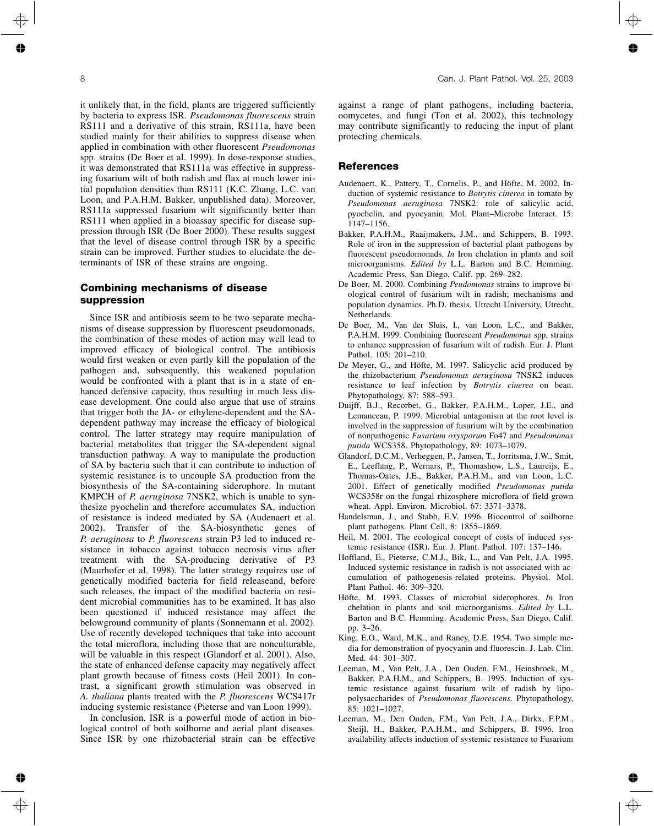it unlikely that, in the field, plants are triggered sufficiently by bacteria to express ISR. *Pseudomonas fluorescens* strain RS111 and a derivative of this strain, RS111a, have been studied mainly for their abilities to suppress disease when applied in combination with other fluorescent *Pseudomonas* spp. strains (De Boer et al. 1999). In dose-response studies, it was demonstrated that RS111a was effective in suppressing fusarium wilt of both radish and flax at much lower initial population densities than RS111 (K.C. Zhang, L.C. van Loon, and P.A.H.M. Bakker, unpublished data). Moreover, RS111a suppressed fusarium wilt significantly better than RS111 when applied in a bioassay specific for disease suppression through ISR (De Boer 2000). These results suggest that the level of disease control through ISR by a specific strain can be improved. Further studies to elucidate the determinants of ISR of these strains are ongoing.

## **Combining mechanisms of disease suppression**

Since ISR and antibiosis seem to be two separate mechanisms of disease suppression by fluorescent pseudomonads, the combination of these modes of action may well lead to improved efficacy of biological control. The antibiosis would first weaken or even partly kill the population of the pathogen and, subsequently, this weakened population would be confronted with a plant that is in a state of enhanced defensive capacity, thus resulting in much less disease development. One could also argue that use of strains that trigger both the JA- or ethylene-dependent and the SAdependent pathway may increase the efficacy of biological control. The latter strategy may require manipulation of bacterial metabolites that trigger the SA-dependent signal transduction pathway. A way to manipulate the production of SA by bacteria such that it can contribute to induction of systemic resistance is to uncouple SA production from the biosynthesis of the SA-containing siderophore. In mutant KMPCH of *P. aeruginosa* 7NSK2, which is unable to synthesize pyochelin and therefore accumulates SA, induction of resistance is indeed mediated by SA (Audenaert et al. 2002). Transfer of the SA-biosynthetic genes of *P. aeruginosa* to *P. fluorescens* strain P3 led to induced resistance in tobacco against tobacco necrosis virus after treatment with the SA-producing derivative of P3 (Maurhofer et al. 1998). The latter strategy requires use of genetically modified bacteria for field releaseand, before such releases, the impact of the modified bacteria on resident microbial communities has to be examined. It has also been questioned if induced resistance may affect the belowground community of plants (Sonnemann et al. 2002). Use of recently developed techniques that take into account the total microflora, including those that are nonculturable, will be valuable in this respect (Glandorf et al. 2001). Also, the state of enhanced defense capacity may negatively affect plant growth because of fitness costs (Heil 2001). In contrast, a significant growth stimulation was observed in *A. thaliana* plants treated with the *P. fluorescens* WCS417r inducing systemic resistance (Pieterse and van Loon 1999).

In conclusion, ISR is a powerful mode of action in biological control of both soilborne and aerial plant diseases. Since ISR by one rhizobacterial strain can be effective against a range of plant pathogens, including bacteria, oomycetes, and fungi (Ton et al. 2002), this technology may contribute significantly to reducing the input of plant protecting chemicals.

## **References**

- Audenaert, K., Pattery, T., Cornelis, P., and Höfte, M. 2002. Induction of systemic resistance to *Botrytis cinerea* in tomato by *Pseudomonas aeruginosa* 7NSK2: role of salicylic acid, pyochelin, and pyocyanin. Mol. Plant–Microbe Interact. 15: 1147–1156.
- Bakker, P.A.H.M., Raaijmakers, J.M., and Schippers, B. 1993. Role of iron in the suppression of bacterial plant pathogens by fluorescent pseudomonads. *In* Iron chelation in plants and soil microorganisms. *Edited by* L.L. Barton and B.C. Hemming. Academic Press, San Diego, Calif. pp. 269–282.
- De Boer, M. 2000. Combining *Peudomonas* strains to improve biological control of fusarium wilt in radish; mechanisms and population dynamics. Ph.D. thesis, Utrecht University, Utrecht, Netherlands.
- De Boer, M., Van der Sluis, I., van Loon, L.C., and Bakker, P.A.H.M. 1999. Combining fluorescent *Pseudomonas* spp. strains to enhance suppression of fusarium wilt of radish. Eur. J. Plant Pathol. 105: 201–210.
- De Meyer, G., and Höfte, M. 1997. Salicyclic acid produced by the rhizobacterium *Pseudomonas aeruginosa* 7NSK2 induces resistance to leaf infection by *Botrytis cinerea* on bean. Phytopathology, 87: 588–593.
- Duijff, B.J., Recorbet, G., Bakker, P.A.H.M., Loper, J.E., and Lemanceau, P. 1999. Microbial antagonism at the root level is involved in the suppression of fusarium wilt by the combination of nonpathogenic *Fusarium oxysporum* Fo47 and *Pseudomonas putida* WCS358. Phytopathology, 89: 1073–1079.
- Glandorf, D.C.M., Verheggen, P., Jansen, T., Jorritsma, J.W., Smit, E., Leeflang, P., Wernars, P., Thomashow, L.S., Laureijs, E., Thomas-Oates, J.E., Bakker, P.A.H.M., and van Loon, L.C. 2001. Effect of genetically modified *Pseudomonas putida* WCS358r on the fungal rhizosphere microflora of field-grown wheat. Appl. Environ. Microbiol. 67: 3371–3378.
- Handelsman, J., and Stabb, E.V. 1996. Biocontrol of soilborne plant pathogens. Plant Cell, 8: 1855–1869.
- Heil, M. 2001. The ecological concept of costs of induced systemic resistance (ISR). Eur. J. Plant. Pathol. 107: 137–146.
- Hoffland, E., Pieterse, C.M.J., Bik, L., and Van Pelt, J.A. 1995. Induced systemic resistance in radish is not associated with accumulation of pathogenesis-related proteins. Physiol. Mol. Plant Pathol. 46: 309–320.
- Höfte, M. 1993. Classes of microbial siderophores. *In* Iron chelation in plants and soil microorganisms. *Edited by* L.L. Barton and B.C. Hemming. Academic Press, San Diego, Calif. pp. 3–26.
- King, E.O., Ward, M.K., and Raney, D.E. 1954. Two simple media for demonstration of pyocyanin and fluorescin. J. Lab. Clin. Med. 44: 301–307.
- Leeman, M., Van Pelt, J.A., Den Ouden, F.M., Heinsbroek, M., Bakker, P.A.H.M., and Schippers, B. 1995. Induction of systemic resistance against fusarium wilt of radish by lipopolysaccharides of *Pseudomonas fluorescens*. Phytopathology, 85: 1021–1027.
- Leeman, M., Den Ouden, F.M., Van Pelt, J.A., Dirkx, F.P.M., Steijl, H., Bakker, P.A.H.M., and Schippers, B. 1996. Iron availability affects induction of systemic resistance to Fusarium